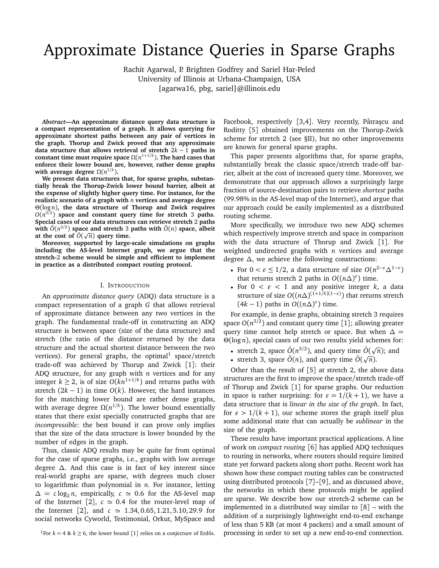# Approximate Distance Queries in Sparse Graphs

Rachit Agarwal, P. Brighten Godfrey and Sariel Har-Peled University of Illinois at Urbana-Champaign, USA {agarwa16, pbg, sariel}@illinois.edu

*Abstract***—An approximate distance query data structure is a compact representation of a graph. It allows querying for approximate shortest paths between any pair of vertices in the graph. Thorup and Zwick proved that any approximate data structure that allows retrieval of stretch** 2*k* − 1 **paths in**  $\textbf{constant time must require space } \Omega(n^{1+1/k})$ . The hard cases that **enforce their lower bound are, however, rather dense graphs** with average degree  $\Omega(n^{1/k})$ .

**We present data structures that, for sparse graphs, substantially break the Thorup-Zwick lower bound barrier, albeit at the expense of slightly higher query time. For instance, for the realistic scenario of a graph with** *n* **vertices and average degree** Θ(log *n*)**, the data structure of Thorup and Zwick requires**  $O(n^{3/2})$  space and constant query time for stretch 3 paths. **Special cases of our data structures can retrieve stretch** 2 **paths** with  $\tilde{O}(n^{3/2})$  space and stretch 3 paths with  $\tilde{O}(n)$  space, albeit at the cost of  $\tilde{O}(\sqrt{n})$  query time.

**Moreover, supported by large-scale simulations on graphs including the AS-level Internet graph, we argue that the stretch-**2 **scheme would be simple and efficient to implement in practice as a distributed compact routing protocol.**

#### I. INTRODUCTION

An *approximate distance query* (ADQ) data structure is a compact representation of a graph *G* that allows retrieval of approximate distance between any two vertices in the graph. The fundamental trade-off in constructing an ADQ structure is between space (size of the data structure) and stretch (the ratio of the distance returned by the data structure and the actual shortest distance between the two vertices). For general graphs, the optimal<sup>1</sup> space/stretch trade-off was achieved by Thorup and Zwick [1]: their ADQ structure, for any graph with *n* vertices and for any integer  $k \ge 2$ , is of size  $O(kn^{1+1/k})$  and returns paths with stretch  $(2k - 1)$  in time  $O(k)$ . However, the hard instances for the matching lower bound are rather dense graphs, with average degree  $\Omega(n^{1/k})$ . The lower bound essentially states that there exist specially constructed graphs that are *incompressible*: the best bound it can prove only implies that the size of the data structure is lower bounded by the number of edges in the graph.

Thus, classic ADQ results may be quite far from optimal for the case of sparse graphs, i.e., graphs with low average degree  $\Delta$ . And this case is in fact of key interest since real-world graphs are sparse, with degrees much closer to logarithmic than polynomial in *n*. For instance, letting  $\Delta = c \log_2 n$ , empirically,  $c \approx 0.6$  for the AS-level map of the Internet [2],  $c \approx 0.4$  for the router-level map of the Internet [2], and  $c \approx 1.34, 0.65, 1.21, 5.10, 29.9$  for social networks Cyworld, Testimonial, Orkut, MySpace and

<sup>1</sup>For  $k = 4$  &  $k \ge 6$ , the lower bound [1] relies on a conjecture of Erdős.

Facebook, respectively [3,4]. Very recently, Pǎtraşcu and Roditty [5] obtained improvements on the Thorup-Zwick scheme for stretch 2 (see §II), but no other improvements are known for general sparse graphs.

This paper presents algorithms that, for sparse graphs, substantially break the classic space/stretch trade-off barrier, albeit at the cost of increased query time. Moreover, we demonstrate that our approach allows a surprisingly large fraction of source-destination pairs to retrieve *shortest* paths (99.98% in the AS-level map of the Internet), and argue that our approach could be easily implemented as a distributed routing scheme.

More specifically, we introduce two new ADQ schemes which respectively improve stretch and space in comparison with the data structure of Thorup and Zwick [1]. For weighted undirected graphs with *n* vertices and average degree  $\Delta$ , we achieve the following constructions:

- For  $0 < \varepsilon \leq 1/2$ , a data structure of size  $O(n^{2-\varepsilon}\Delta^{1-\varepsilon})$ that returns stretch 2 paths in  $O((n\Delta)^{\varepsilon})$  time.
- For  $0 < \varepsilon < 1$  and any positive integer  $k$ , a data structure of size *O*((*n*∆)(1+1*/k*)(1−*ǫ*) ) that returns stretch  $(4k-1)$  paths in  $O((n\Delta)^{\varepsilon})$  time.

For example, in dense graphs, obtaining stretch 3 requires space  $O(n^{3/2})$  and constant query time [1]; allowing greater query time cannot help stretch or space. But when  $\Delta$  = Θ(log *n*), special cases of our two results yield schemes for:

- stretch 2, space  $\tilde{O}(n^{3/2})$ , and query time  $\tilde{O}(\sqrt{n})$ ; and
- stretch 3, space  $\tilde{O}(n)$ , and query time  $\tilde{O}(\sqrt{n})$ .

Other than the result of [5] at stretch 2, the above data structures are the first to improve the space/stretch trade-off of Thorup and Zwick [1] for sparse graphs. Our reduction in space is rather surprising: for  $\varepsilon = 1/(k+1)$ , we have a data structure that is *linear in the size of the graph*. In fact, for  $\epsilon > 1/(k+1)$ , our scheme stores the graph itself plus some additional state that can actually be *sublinear* in the size of the graph.

These results have important practical applications. A line of work on *compact routing* [6] has applied ADQ techniques to routing in networks, where routers should require limited state yet forward packets along short paths. Recent work has shown how these compact routing tables can be constructed using distributed protocols [7]–[9], and as discussed above, the networks in which these protocols might be applied are sparse. We describe how our stretch-2 scheme can be implemented in a distributed way similar to  $[8]$  – with the addition of a surprisingly lightweight end-to-end exchange of less than 5 KB (at most 4 packets) and a small amount of processing in order to set up a new end-to-end connection.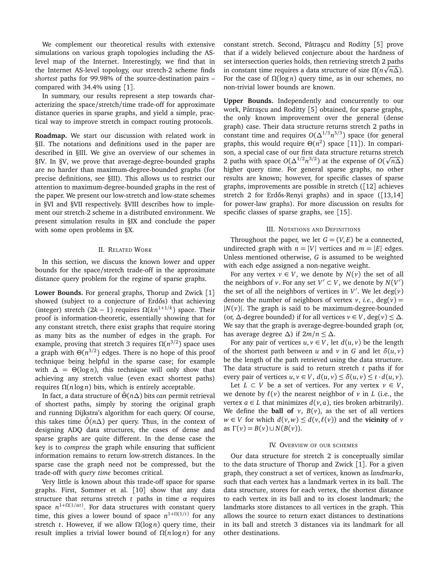We complement our theoretical results with extensive simulations on various graph topologies including the ASlevel map of the Internet. Interestingly, we find that in the Internet AS-level topology, our stretch-2 scheme finds *shortest* paths for 99.98% of the source-destination pairs – compared with 34.4% using [1].

In summary, our results represent a step towards characterizing the space/stretch/time trade-off for approximate distance queries in sparse graphs, and yield a simple, practical way to improve stretch in compact routing protocols.

**Roadmap.** We start our discussion with related work in §II. The notations and definitions used in the paper are described in §III. We give an overview of our schemes in §IV. In §V, we prove that average-degree-bounded graphs are no harder than maximum-degree-bounded graphs (for precise definitions, see §III). This allows us to restrict our attention to maximum-degree-bounded graphs in the rest of the paper. We present our low-stretch and low-state schemes in §VI and §VII respectively. §VIII describes how to implement our stretch-2 scheme in a distributed environment. We present simulation results in §IX and conclude the paper with some open problems in §X.

## II. RELATED WORK

In this section, we discuss the known lower and upper bounds for the space/stretch trade-off in the approximate distance query problem for the regime of sparse graphs.

**Lower Bounds.** For general graphs, Thorup and Zwick [1] showed (subject to a conjecture of Erdős) that achieving (integer) stretch  $(2k - 1)$  requires  $\Omega(kn^{1+1/k})$  space. Their proof is information-theoretic, essentially showing that for any constant stretch, there exist graphs that require storing as many bits as the number of edges in the graph. For example, proving that stretch 3 requires Ω(*n* 3*/*2 ) space uses a graph with  $\Theta(n^{3/2})$  edges. There is no hope of this proof technique being helpful in the sparse case; for example with  $\Delta = \Theta(\log n)$ , this technique will only show that achieving any stretch value (even exact shortest paths) requires Ω(*n* log *n*) bits, which is entirely acceptable.

In fact, a data structure of Θ( ˜ *n*∆) bits *can* permit retrieval of shortest paths, simply by storing the original graph and running Dijkstra's algorithm for each query. Of course, this takes time  $\tilde{O}(n\Delta)$  per query. Thus, in the context of designing ADQ data structures, the cases of dense and sparse graphs are quite different. In the dense case the key is to *compress* the graph while ensuring that sufficient information remains to return low-stretch distances. In the sparse case the graph need not be compressed, but the trade-off with *query time* becomes critical.

Very little is known about this trade-off space for sparse graphs. First, Sommer et al. [10] show that any data structure that returns stretch *t* paths in time *α* requires space *n* 1+Ω(1*/αt*) . For data structures with constant query time, this gives a lower bound of space  $n^{1+\Omega(1/t)}$  for any stretch *t*. However, if we allow  $\Omega(\log n)$  query time, their result implies a trivial lower bound of Ω(*n* log *n*) for any constant stretch. Second, Patrascu and Roditty [5] prove that if a widely believed conjecture about the hardness of set intersection queries holds, then retrieving stretch 2 paths in constant time requires a data structure of size  $Ω(n\sqrt{nΔ})$ . For the case of  $\Omega(\log n)$  query time, as in our schemes, no non-trivial lower bounds are known.

**Upper Bounds.** Independently and concurrently to our work, Pǎtraşcu and Roditty [5] obtained, for sparse graphs, the only known improvement over the general (dense graph) case. Their data structure returns stretch 2 paths in constant time and requires  $O(\Delta^{1/3}n^{5/3})$  space (for general graphs, this would require  $\Theta(n^2)$  space [11]). In comparison, a special case of our first data structure returns stretch 2 paths with space  $O(\Delta^{1/2}n^{3/2})$  at the expense of  $O(\sqrt{n\Delta})$ higher query time. For general sparse graphs, no other results are known; however, for specific classes of sparse graphs, improvements are possible in stretch ([12] achieves stretch 2 for Erdős-Renyi graphs) and in space  $(13,14)$ for power-law graphs). For more discussion on results for specific classes of sparse graphs, see [15].

#### III. NOTATIONS AND DEFINITIONS

Throughout the paper, we let  $G = (V, E)$  be a connected, undirected graph with  $n = |V|$  vertices and  $m = |E|$  edges. Unless mentioned otherwise, *G* is assumed to be weighted with each edge assigned a non-negative weight.

For any vertex  $v \in V$ , we denote by  $N(v)$  the set of all the neighbors of *v*. For any set  $V' \subset V$ , we denote by  $N(V')$ the set of all the neighbors of vertices in  $V'$ . We let deg( $v$ ) denote the number of neighbors of vertex  $v$ , *i.e.*, deg( $v$ ) =  $|N(v)|$ . The graph is said to be maximum-degree-bounded (or,  $\triangle$ -degree bounded) if for all vertices  $v \in V$ , deg( $v$ )  $\leq \triangle$ . We say that the graph is average-degree-bounded graph (or, has average degree  $\Delta$ ) if  $2m/n \leq \Delta$ .

For any pair of vertices  $u, v \in V$ , let  $d(u, v)$  be the length of the shortest path between *u* and *v* in *G* and let  $\delta(u, v)$ be the length of the path retrieved using the data structure. The data structure is said to return stretch *t* paths if for every pair of vertices  $u, v \in V$ ,  $d(u, v) \leq \delta(u, v) \leq t \cdot d(u, v)$ .

Let *L* ⊂ *V* be a set of vertices. For any vertex  $v \in V$ , we denote by  $\ell(v)$  the nearest neighbor of  $v$  in  $L$  (i.e., the *vertex*  $a$  ∈ *L* that minimizes  $d(v, a)$ , ties broken arbitrarily). We define the **ball of**  $v$ ,  $B(v)$ , as the set of all vertices  $w \in V$  for which  $d(v, w) \leq d(v, \ell(v))$  and the **vicinity** of *v* as  $\Gamma(\nu) = B(\nu) \cup N(B(\nu))$ .

#### IV. OVERVIEW OF OUR SCHEMES

Our data structure for stretch 2 is conceptually similar to the data structure of Thorup and Zwick [1]. For a given graph, they construct a set of vertices, known as *landmarks*, such that each vertex has a landmark vertex in its ball. The data structure, stores for each vertex, the shortest distance to each vertex in its ball and to its closest landmark; the landmarks store distances to all vertices in the graph. This allows the source to return exact distances to destinations in its ball and stretch 3 distances via its landmark for all other destinations.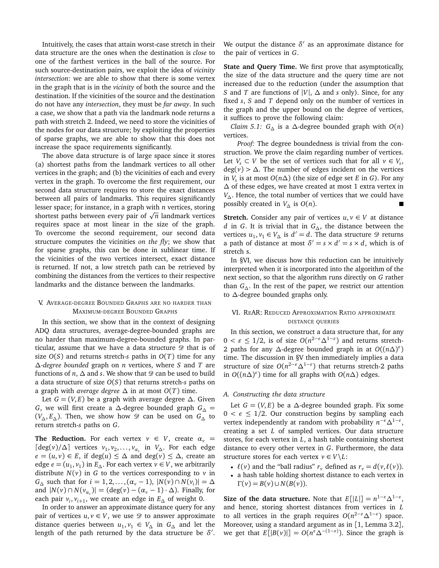Intuitively, the cases that attain worst-case stretch in their data structure are the ones when the destination is *close* to one of the farthest vertices in the ball of the source. For such source-destination pairs, we exploit the idea of *vicinity intersection*: we are able to show that there is some vertex in the graph that is in the *vicinity* of both the source and the destination. If the vicinities of the source and the destination do not have any *intersection*, they must be *far away*. In such a case, we show that a path via the landmark node returns a path with stretch 2. Indeed, we need to store the vicinities of the nodes for our data structure; by exploiting the properties of sparse graphs, we are able to show that this does not increase the space requirements significantly.

The above data structure is of large space since it stores (a) shortest paths from the landmark vertices to all other vertices in the graph; and (b) the vicinities of each and every vertex in the graph. To overcome the first requirement, our second data structure requires to store the exact distances between all pairs of landmarks. This requires significantly lesser space; for instance, in a graph with *n* vertices, storing shortest paths between every pair of  $\sqrt{n}$  landmark vertices requires space at most linear in the size of the graph. To overcome the second requirement, our second data structure computes the vicinities *on the fly*; we show that for sparse graphs, this can be done in sublinear time. If the vicinities of the two vertices intersect, exact distance is returned. If not, a low stretch path can be retrieved by combining the distances from the vertices to their respective landmarks and the distance between the landmarks.

## V. AVERAGE-DEGREE BOUNDED GRAPHS ARE NO HARDER THAN MAXIMUM-DEGREE BOUNDED GRAPHS

In this section, we show that in the context of designing ADQ data structures, average-degree-bounded graphs are no harder than maximum-degree-bounded graphs. In particular, assume that we have a data structure  $\mathscr D$  that is of size  $O(S)$  and returns stretch-*s* paths in  $O(T)$  time for any ∆-*degree bounded* graph on *n* vertices, where *S* and *T* are functions of  $n, \Delta$  and  $s$ . We show that  $\mathscr D$  can be used to build a data structure of size *O*(*S*) that returns stretch-*s* paths on a graph with *average degree*  $\Delta$  in at most  $O(T)$  time.

Let *G* = (*V*, *E*) be a graph with average degree  $\Delta$ . Given *G*, we will first create a ∆-degree bounded graph  $G_$  =  $(V_{\Delta}, E_{\Delta})$ . Then, we show how  $\mathscr{D}$  can be used on  $G_{\Delta}$  to return stretch-*s* paths on *G*.

**The Reduction.** For each vertex  $v \in V$ , create  $\alpha_v$  =  $\lceil \deg(v)/\Delta \rceil$  vertices  $v_1, v_2, \ldots, v_{\alpha_v}$  in  $V_\Delta$ . For each edge *e* =  $(u, v)$  ∈ *E*, if deg $(u)$  ≤  $\Delta$  and deg $(v)$  ≤  $\Delta$ , create an edge  $e = (u_1, v_1)$  in  $E_{\Delta}$ . For each vertex  $v \in V$ , we arbitrarily distribute  $N(v)$  in G to the vertices corresponding to  $v$  in *G*∆ such that for *i* = 1,2,..., (*α*<sup>*v*</sup> − 1), |*N*(*v*) ∩ *N*(*v<sub>i</sub>*)| = ∆ and  $|N(v) \cap N(v_{\alpha_v})| = (\deg(v) - (\alpha_v - 1) \cdot \Delta)$ . Finally, for each pair  $v_i$ ,  $v_{i+1}$ , we create an edge in  $E_\Delta$  of weight 0.

In order to answer an approximate distance query for any pair of vertices  $u, v \in V$ , we use  $\mathscr{D}$  to answer approximate distance queries between  $u_1, v_1 \in V_\Delta$  in  $G_\Delta$  and let the length of the path returned by the data structure be *δ* ′ .

We output the distance  $\delta'$  as an approximate distance for the pair of vertices in *G*.

**State and Query Time.** We first prove that asymptotically, the size of the data structure and the query time are not increased due to the reduction (under the assumption that *S* and *T* are functions of |*V*|, ∆ and *s* only). Since, for any fixed *s*, *S* and *T* depend only on the number of vertices in the graph and the upper bound on the degree of vertices, it suffices to prove the following claim:

*Claim 5.1:*  $G_{\Delta}$  is a  $\Delta$ -degree bounded graph with  $O(n)$ vertices.

*Proof:* The degree boundedness is trivial from the construction. We prove the claim regarding number of vertices. Let *V*<sub>*s*</sub>  $\subset$  *V* be the set of vertices such that for all  $v \in V_s$ ,  $deg(v)$  >  $\Delta$ . The number of edges incident on the vertices in *V<sub>s</sub>* is at most  $O(n\Delta)$  (the size of edge set *E* in *G*). For any  $\Delta$  of these edges, we have created at most 1 extra vertex in *V*∆. Hence, the total number of vertices that we could have possibly created in  $V_{\Delta}$  is  $O(n)$ .

**Stretch.** Consider any pair of vertices  $u, v \in V$  at distance *d* in *G*. It is trivial that in *G*∆, the distance between the vertices  $u_1, v_1 \in V_{\Delta}$  is  $d' = d$ . The data structure  $\mathscr{D}$  returns a path of distance at most  $\delta' = s \times d' = s \times d$ , which is of stretch s.

In §VI, we discuss how this reduction can be intuitively interpreted when it is incorporated into the algorithm of the next section, so that the algorithm runs directly on *G* rather than  $G_{\Delta}$ . In the rest of the paper, we restrict our attention to ∆-degree bounded graphs only.

## VI. REAR: REDUCED APPROXIMATION RATIO APPROXIMATE DISTANCE QUERIES

In this section, we construct a data structure that, for any  $0 < ε ≤ 1/2$ , is of size  $O(n^{2-\epsilon}Δ^{1-\epsilon})$  and returns stretch-2 paths for any  $\Delta$ -degree bounded graph in at  $O((n\Delta)^{\varepsilon})$ time. The discussion in §V then immediately implies a data structure of size  $O(n^{2-\varepsilon} \Delta^{1-\varepsilon})$  that returns stretch-2 paths in  $O((n\Delta)^{\varepsilon})$  time for all graphs with  $O(n\Delta)$  edges.

## *A. Constructing the data structure*

Let  $G = (V, E)$  be a  $\Delta$ -degree bounded graph. Fix some  $0 < \epsilon \leq 1/2$ . Our construction begins by sampling each vertex independently at random with probability *n* <sup>−</sup>*<sup>ǫ</sup>*∆<sup>1</sup>−*<sup>ǫ</sup>* , creating a set *L* of sampled vertices. Our data structure stores, for each vertex in *L*, a hash table containing shortest distance to every other vertex in *G*. Furthermore, the data structure stores for each vertex  $v \in V \backslash L$ :

- $\ell(v)$  and the "ball radius"  $r_v$  defined as  $r_v = d(v, \ell(v))$ .
- a hash table holding shortest distance to each vertex in  $\Gamma(\nu) = B(\nu) \cup N(B(\nu)).$

Size of the data structure. Note that  $E[|L|] = n^{1-\epsilon} \Delta^{1-\epsilon}$ , and hence, storing shortest distances from vertices in *L* to all vertices in the graph requires  $O(n^{2-\epsilon} \Delta^{1-\epsilon})$  space. Moreover, using a standard argument as in [1, Lemma 3.2], we get that  $E[|B(v)|] = O(n^{\varepsilon} \Delta^{-(1-\varepsilon)})$ . Since the graph is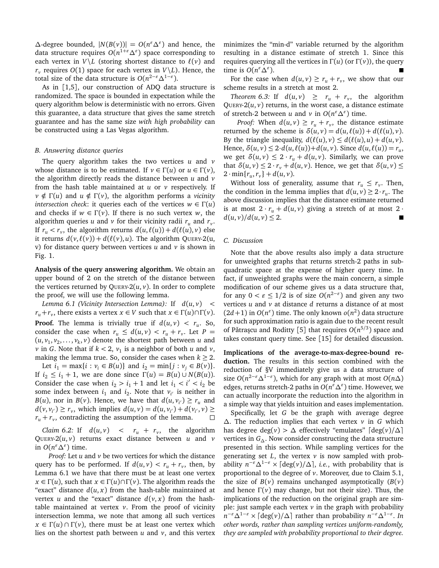∆-degree bounded,  $|N(B(v))| = O(n^{\varepsilon} \Delta^{\varepsilon})$  and hence, the data structure requires  $O(n^{1+\varepsilon} \Delta^\varepsilon)$  space corresponding to each vertex in  $V\backslash L$  (storing shortest distance to  $\ell(v)$  and  $r_v$  requires  $O(1)$  space for each vertex in  $V \backslash L$ ). Hence, the total size of the data structure is  $O(n^{2-\varepsilon} \Delta^{1-\varepsilon})$ .

As in [1,5], our construction of ADQ data structure is randomized. The space is bounded in expectation while the query algorithm below is deterministic with no errors. Given this guarantee, a data structure that gives the same stretch guarantee and has the same size *with high probability* can be constructed using a Las Vegas algorithm.

## *B. Answering distance queries*

The query algorithm takes the two vertices *u* and *v* whose distance is to be estimated. If  $v \in \Gamma(u)$  or  $u \in \Gamma(v)$ , the algorithm directly reads the distance between *u* and *v* from the hash table maintained at *u* or *v* respectively. If  $v \notin \Gamma(u)$  and  $u \notin \Gamma(v)$ , the algorithm performs a *vicinity intersection check*: it queries each of the vertices  $w \in \Gamma(u)$ and checks if  $w \in \Gamma(v)$ . If there is no such vertex *w*, the algorithm queries *u* and *v* for their vicinity radii  $r_u$  and  $r_v$ . If  $r_u < r_v$ , the algorithm returns  $d(u, \ell(u)) + d(\ell(u), v)$  else it returns  $d(v, \ell(v)) + d(\ell(v), u)$ . The algorithm QUERY-2(u, v) for distance query between vertices *u* and *v* is shown in Fig. 1.

**Analysis of the query answering algorithm.** We obtain an upper bound of 2 on the stretch of the distance between the vertices returned by QUERY- $2(u, v)$ . In order to complete the proof, we will use the following lemma.

*Lemma 6.1 (Vicinity Intersection Lemma):* If *d*(*u*, *v*) *< r*<sub>*u*</sub> + *r*<sub>*v*</sub>, there exists a vertex *x*  $\in$  *V* such that *x*  $\in$   $\Gamma(u) \cap \Gamma(v)$ . **Proof.** The lemma is trivially true if  $d(u, v) < r_u$ . So, consider the case when  $r_u \leq d(u, v) < r_u + r_v$ . Let  $P =$  $(u, v_1, v_2, \ldots, v_k, v)$  denote the shortest path between *u* and *v* in *G*. Note that if  $k < 2$ ,  $v_1$  is a neighbor of both *u* and *v*, making the lemma true. So, consider the cases when  $k \geq 2$ .

Let  $i_1 = \max\{i : v_i \in B(u)\}\$  and  $i_2 = \min\{j : v_j \in B(v)\}\$ . If  $i_2 \leq i_1 + 1$ , we are done since  $\Gamma(u) = B(u) \cup N(B(u))$ . Consider the case when  $i_2 > i_1 + 1$  and let  $i_1 < i' < i_2$  be some index between  $i_1$  and  $i_2$ . Note that  $v_{i'}$  is neither in *B*(*u*), nor in *B*(*v*). Hence, we have that  $d(u, v_{i'}) \ge r_u$  and  $d(v, v_{i'}) \ge r_v$ , which implies  $d(u, v) = d(u, v_{i'}) + d(v_{i'}, v) \ge$  $r_u + r_v$ , contradicting the assumption of the lemma.  $\Box$ 

*Claim 6.2:* If  $d(u, v) < r_u + r_v$ , the algorithm QUERY-2(*u*, *v*) returns exact distance between *u* and *v* in  $O(n^{\varepsilon} \Delta^{\varepsilon})$  time.

*Proof:* Let *u* and *v* be two vertices for which the distance query has to be performed. If  $d(u, v) < r_u + r_v$ , then, by Lemma 6.1 we have that there must be at least one vertex *x* ∈ Γ(*u*), such that *x* ∈ Γ(*u*)∩Γ(*v*). The algorithm reads the "exact" distance  $d(u, x)$  from the hash-table maintained at vertex *u* and the "exact" distance  $d(v, x)$  from the hashtable maintained at vertex *v*. From the proof of vicinity intersection lemma, we note that among all such vertices  $x \in \Gamma(u) \cap \Gamma(v)$ , there must be at least one vertex which lies on the shortest path between *u* and *v*, and this vertex minimizes the "min-d" variable returned by the algorithm resulting in a distance estimate of stretch 1. Since this requires querying all the vertices in Γ(*u*) (or Γ(*v*)), the query time is  $O(n^{\varepsilon} \Delta^{\varepsilon})$ .

For the case when  $d(u, v) \ge r_u + r_v$ , we show that our scheme results in a stretch at most 2.

*Theorem 6.3:* If  $d(u, v) \geq r_u + r_v$ , the algorithm QUERY- $2(u, v)$  returns, in the worst case, a distance estimate of stretch-2 between *u* and *v* in  $O(n^{\epsilon} \Delta^{\epsilon})$  time.

*Proof:* When  $d(u, v) \ge r_u + r_v$ , the distance estimate returned by the scheme is  $\delta(u, v) = d(u, \ell(u)) + d(\ell(u), v)$ . By the triangle inequality,  $d(\ell(u), v) \leq d(\ell(u), u) + d(u, v)$ . Hence,  $\delta(u, v) \leq 2 \cdot d(u, \ell(u)) + d(u, v)$ . Since  $d(u, \ell(u)) = r_u$ , we get  $\delta(u, v) \leq 2 \cdot r_u + d(u, v)$ . Similarly, we can prove that  $\delta(u, v) \leq 2 \cdot r_v + d(u, v)$ . Hence, we get that  $\delta(u, v) \leq$  $2 \cdot \min\{r_u, r_v\} + d(u, v).$ 

Without loss of generality, assume that  $r_u \leq r_v$ . Then, the condition in the lemma implies that  $d(u, v) \geq 2 \cdot r_u$ . The above discussion implies that the distance estimate returned is at most  $2 \cdot r_u + d(u, v)$  giving a stretch of at most  $2 \cdot$  $d(u, v)/d(u, v) \leq 2$ .

#### *C. Discussion*

Note that the above results also imply a data structure for unweighted graphs that returns stretch-2 paths in subquadratic space at the expense of higher query time. In fact, if unweighted graphs were the main concern, a simple modification of our scheme gives us a data structure that, for any  $0 < \varepsilon \leq 1/2$  is of size  $O(n^{2-\varepsilon})$  and given any two vertices *u* and *v* at distance *d* returns a distance of at most  $(2d+1)$  in  $O(n^{\epsilon})$  time. The only known  $o(n^2)$  data structure for such approximation ratio is again due to the recent result of Pǎtraşcu and Roditty [5] that requires  $O(n^{5/3})$  space and takes constant query time. See [15] for detailed discussion.

**Implications of the average-to-max-degree-bound reduction.** The results in this section combined with the reduction of §V immediately give us a data structure of size  $O(n^{2-\epsilon} \Delta^{1-\epsilon})$ , which for any graph with at most  $O(n\Delta)$ edges, returns stretch-2 paths in *O*(*n <sup>ǫ</sup>*∆*<sup>ǫ</sup>* ) time. However, we can actually incorporate the reduction into the algorithm in a simple way that yields intuition and eases implementation.

Specifically, let *G* be the graph with average degree ∆. The reduction implies that each vertex *v* in *G* which has degree deg( $v$ ) >  $\Delta$  effectively "emulates"  $\lceil \deg(v)/\Delta \rceil$ vertices in  $G_{\Lambda}$ . Now consider constructing the data structure presented in this section. While sampling vertices for the generating set *L*, the vertex *v* is now sampled with probability  $n^{-\varepsilon} \Delta^{1-\varepsilon} \times \left[ \deg(v) / \Delta \right]$ , *i.e.*, with probability that is proportional to the degree of *v*. Moreover, due to Claim 5.1, the size of  $B(v)$  remains unchanged asymptotically  $(B(v))$ and hence  $\Gamma(\nu)$  may change, but not their size). Thus, the implications of the reduction on the original graph are simple: just sample each vertex *v* in the graph with probability *n*<sup>−*ε*</sup>  $\Delta$ <sup>1−*ε*</sup> ×  $\lceil deg(v)/\Delta \rceil$  rather than probability *n*<sup>−*ε*</sup> $\Delta$ <sup>1−*ε*</sup>. *In other words, rather than sampling vertices uniform-randomly, they are sampled with probability proportional to their degree.*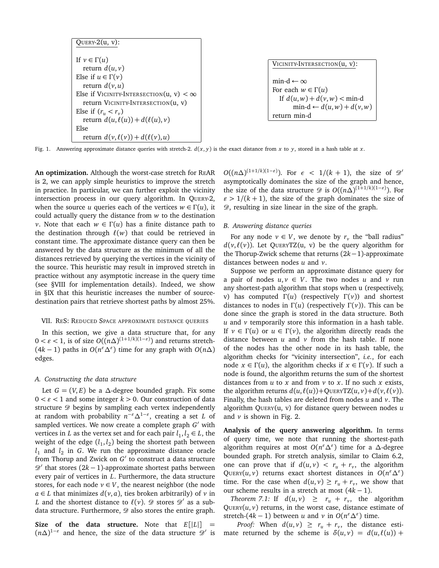

VICINITY-INTERSECTION(u, v): min-d  $\leftarrow \infty$ For each  $w \in \Gamma(u)$ If  $d(u, w) + d(v, w) < \text{min-d}$  $\min-d \leftarrow d(u, w) + d(v, w)$ return min-d

Fig. 1. Answering approximate distance queries with stretch-2.  $d(x, y)$  is the exact distance from *x* to *y*, stored in a hash table at *x*.

**An optimization.** Although the worst-case stretch for REAR is 2, we can apply simple heuristics to improve the stretch in practice. In particular, we can further exploit the vicinity intersection process in our query algorithm. In QUERY-2, when the source *u* queries each of the vertices  $w \in \Gamma(u)$ , it could actually query the distance from *w* to the destination *v*. Note that each  $w \in \Gamma(u)$  has a finite distance path to the destination through *ℓ*(*w*) that could be retrieved in constant time. The approximate distance query can then be answered by the data structure as the minimum of all the distances retrieved by querying the vertices in the vicinity of the source. This heuristic may result in improved stretch in practice without any asymptotic increase in the query time (see §VIII for implementation details). Indeed, we show in §IX that this heuristic increases the number of sourcedestination pairs that retrieve shortest paths by almost 25%.

#### VII. RES: REDUCED SPACE APPROXIMATE DISTANCE QUERIES

In this section, we give a data structure that, for any 0 *< ǫ <* 1, is of size *O*((*n*∆)(1+1*/k*)(1−*ǫ*) ) and returns stretch-  $(4k-1)$  paths in  $O(n^{\epsilon} \Delta^{\epsilon})$  time for any graph with  $O(n\Delta)$ edges.

## *A. Constructing the data structure*

Let  $G = (V, E)$  be a  $\Delta$ -degree bounded graph. Fix some  $0 < \varepsilon < 1$  and some integer  $k > 0$ . Our construction of data structure  $\mathcal D$  begins by sampling each vertex independently at random with probability *n* <sup>−</sup>*<sup>ǫ</sup>*∆<sup>1</sup>−*<sup>ǫ</sup>* , creating a set *L* of sampled vertices. We now create a complete graph *G* ′ with vertices in *L* as the vertex set and for each pair  $l_1, l_2 \in L$ , the weight of the edge  $(l_1, l_2)$  being the shortest path between  $l_1$  and  $l_2$  in  $G$ . We run the approximate distance oracle from Thorup and Zwick on *G* ′ to construct a data structure D ′ that stores (2*k* −1)-approximate shortest paths between every pair of vertices in *L*. Furthermore, the data structure stores, for each node  $v \in V$ , the nearest neighbor (the node  $a \in L$  that minimizes  $d(v, a)$ , ties broken arbitrarily) of *v* in *L* and the shortest distance to  $\ell(\nu)$ .  $\mathscr{D}$  stores  $\mathscr{D}'$  as a subdata structure. Furthermore,  $\mathscr D$  also stores the entire graph.

**Size of the data structure.** Note that  $E[|L|] =$  $(n\Delta)^{1-\varepsilon}$  and hence, the size of the data structure  $\mathscr{D}'$  is

 $O((n\Delta)^{(1+1/k)(1-\epsilon)})$ . For  $\epsilon < 1/(k+1)$ , the size of  $\mathscr{D}'$ asymptotically dominates the size of the graph and hence, the size of the data structure  $\mathscr{D}$  is  $O((n\Delta)^{(1+1/k)(1-\varepsilon)})$ . For  $\varepsilon > 1/(k+1)$ , the size of the graph dominates the size of  $\mathscr{D}$ , resulting in size linear in the size of the graph.

# *B. Answering distance queries*

For any node  $v \in V$ , we denote by  $r_v$  the "ball radius"  $d(v, \ell(v))$ . Let QUERYTZ(u, v) be the query algorithm for the Thorup-Zwick scheme that returns (2*k*−1)-approximate distances between nodes *u* and *v*.

Suppose we perform an approximate distance query for a pair of nodes  $u, v \in V$ . The two nodes *u* and *v* run any shortest-path algorithm that stops when u (respectively, v) has computed Γ(*u*) (respectively Γ(*v*)) and shortest distances to nodes in  $\Gamma(u)$  (respectively  $\Gamma(v)$ ). This can be done since the graph is stored in the data structure. Both *u* and *v* temporarily store this information in a hash table. If  $v \in \Gamma(u)$  or  $u \in \Gamma(v)$ , the algorithm directly reads the distance between *u* and *v* from the hash table. If none of the nodes has the other node in its hash table, the algorithm checks for "vicinity intersection", *i.e.*, for each node  $x \in \Gamma(u)$ , the algorithm checks if  $x \in \Gamma(v)$ . If such a node is found, the algorithm returns the sum of the shortest distances from  $u$  to  $x$  and from  $v$  to  $x$ . If no such  $x$  exists, the algorithm returns  $d(u, \ell(u)) + QUERTZ(u, v) + d(v, \ell(v))$ . Finally, the hash tables are deleted from nodes *u* and *v*. The algorithm QUERY(u, v) for distance query between nodes *u* and *v* is shown in Fig. 2.

**Analysis of the query answering algorithm.** In terms of query time, we note that running the shortest-path algorithm requires at most  $O(n^{\epsilon} \Delta^{\epsilon})$  time for a  $\Delta$ -degree bounded graph. For stretch analysis, similar to Claim 6.2, one can prove that if  $d(u, v) < r_u + r_v$ , the algorithm QUERY(*u*, *v*) returns exact shortest distances in  $O(n^{\epsilon} \Delta^{\epsilon})$ time. For the case when  $d(u, v) \ge r_u + r_v$ , we show that our scheme results in a stretch at most  $(4k - 1)$ .

*Theorem 7.1:* If  $d(u, v) \geq r_u + r_v$ , the algorithm  $QUERY(u, v)$  returns, in the worst case, distance estimate of stretch-(4*k* − 1) between *u* and *v* in  $O(n^{\epsilon} \Delta^{\epsilon})$  time.

*Proof:* When  $d(u, v) \geq r_u + r_v$ , the distance estimate returned by the scheme is  $\delta(u, v) = d(u, \ell(u)) +$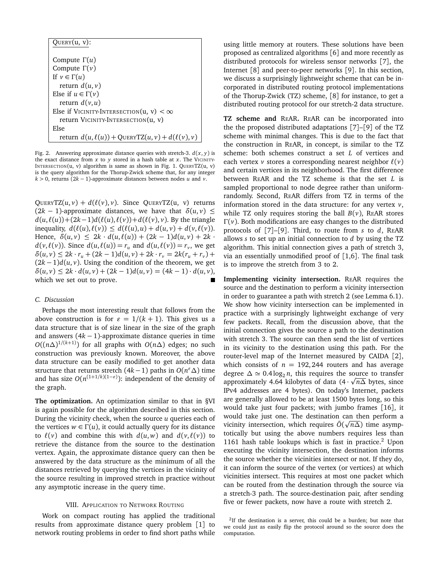| $QUERY(u, v)$ :                                             |
|-------------------------------------------------------------|
|                                                             |
| Compute $\Gamma(u)$                                         |
| Compute $\Gamma(\nu)$                                       |
| If $v \in \Gamma(u)$                                        |
| return $d(u, v)$                                            |
| Else if $u \in \Gamma(\nu)$                                 |
| return $d(v, u)$                                            |
| Else if VICINITY-INTERSECTION(u, v) $< \infty$              |
| return VICINITY-INTERSECTION(u, v)                          |
| Else                                                        |
| return $d(u, \ell(u))$ + QUERYTZ $(u, v)$ + $d(\ell(v), v)$ |

Fig. 2. Answering approximate distance queries with stretch-3.  $d(x, y)$  is the exact distance from  $x$  to  $y$  stored in a hash table at  $x$ . The VICINITY-INTERSECTION(u, v) algorithm is same as shown in Fig. 1. QUERYTZ(u, v) is the query algorithm for the Thorup-Zwick scheme that, for any integer *k >* 0, returns (2*k* − 1)-approximate distances between nodes *u* and *v*.

 $QUERTZ(u, v) + d(\ell(v), v)$ . Since QUERYTZ(u, v) returns (2*k* − 1)-approximate distances, we have that *δ*(*u*, *v*) ≤  $d(u, \ell(u)) + (2k-1)d(\ell(u), \ell(v)) + d(\ell(v), v)$ . By the triangle inequality,  $d(\ell(u), \ell(v)) \leq d(\ell(u), u) + d(u, v) + d(v, \ell(v)).$ Hence, *δ*(*u*, *v*) ≤ 2*k* · *d*(*u*, *ℓ*(*u*)) + (2*k* − 1)*d*(*u*, *v*) + 2*k* ·  $d(v, \ell(v))$ . Since  $d(u, \ell(u)) = r_u$  and  $d(u, \ell(v)) = r_v$ , we get  $\delta(u, v) \leq 2k \cdot r_u + (2k - 1)d(u, v) + 2k \cdot r_v = 2k(r_u + r_v) +$  $(2k-1)d(u, v)$ . Using the condition of the theorem, we get  $\delta(u, v) \leq 2k \cdot d(u, v) + (2k - 1)d(u, v) = (4k - 1) \cdot d(u, v),$ which we set out to prove.

#### *C. Discussion*

Perhaps the most interesting result that follows from the above construction is for  $\varepsilon = 1/(k + 1)$ . This gives us a data structure that is of size linear in the size of the graph and answers (4*k* − 1)-approximate distance queries in time  $O((n\Delta)^{1/(k+1)})$  for all graphs with  $O(n\Delta)$  edges; no such construction was previously known. Moreover, the above data structure can be easily modified to get another data structure that returns stretch  $(4k-1)$  paths in  $O(n^{\epsilon}\Delta)$  time and has size  $O(n^{(1+1/k)(1-\varepsilon)})$ : independent of the density of the graph.

**The optimization.** An optimization similar to that in §VI is again possible for the algorithm described in this section. During the vicinity check, when the source *u* queries each of the vertices  $w \in \Gamma(u)$ , it could actually query for its distance to  $\ell(\nu)$  and combine this with  $d(u, w)$  and  $d(\nu, \ell(\nu))$  to retrieve the distance from the source to the destination vertex. Again, the approximate distance query can then be answered by the data structure as the minimum of all the distances retrieved by querying the vertices in the vicinity of the source resulting in improved stretch in practice without any asymptotic increase in the query time.

## VIII. APPLICATION TO NETWORK ROUTING

Work on compact routing has applied the traditional results from approximate distance query problem [1] to network routing problems in order to find short paths while using little memory at routers. These solutions have been proposed as centralized algorithms [6] and more recently as distributed protocols for wireless sensor networks [7], the Internet [8] and peer-to-peer networks [9]. In this section, we discuss a surprisingly lightweight scheme that can be incorporated in distributed routing protocol implementations of the Thorup-Zwick (TZ) scheme, [8] for instance, to get a distributed routing protocol for our stretch-2 data structure.

**TZ scheme and** REAR**.** REAR can be incorporated into the the proposed distributed adaptations [7]–[9] of the TZ scheme with minimal changes. This is due to the fact that the construction in REAR, in concept, is similar to the TZ scheme: both schemes construct a set *L* of vertices and each vertex *v* stores a corresponding nearest neighbor *ℓ*(*v*) and certain vertices in its neighborhood. The first difference between REAR and the TZ scheme is that the set *L* is sampled proportional to node degree rather than uniformrandomly. Second, REAR differs from TZ in terms of the information stored in the data structure: for any vertex *v*, while TZ only requires storing the ball  $B(v)$ , REAR stores Γ(*v*). Both modifications are easy changes to the distributed protocols of [7]–[9]. Third, to route from *s* to *d*, REAR allows *s* to set up an initial connection to *d* by using the TZ algorithm. This initial connection gives a path of stretch 3, via an essentially unmodified proof of  $[1,6]$ . The final task is to improve the stretch from 3 to 2.

**Implementing vicinity intersection.** REAR requires the source and the destination to perform a vicinity intersection in order to guarantee a path with stretch 2 (see Lemma 6.1). We show how vicinity intersection can be implemented in practice with a surprisingly lightweight exchange of very few packets. Recall, from the discussion above, that the initial connection gives the source a path to the destination with stretch 3. The source can then send the list of vertices in its vicinity to the destination using this path. For the router-level map of the Internet measured by CAIDA [2], which consists of  $n = 192,244$  routers and has average degree  $\Delta \simeq 0.4 \log_2 n$ , this requires the source to transfer approximately 4.64 kilobytes of data (4 · √*n*∆ bytes, since IPv4 addresses are 4 bytes). On today's Internet, packets are generally allowed to be at least 1500 bytes long, so this would take just four packets; with jumbo frames [16], it would take just one. The destination can then perform a vicinity intersection, which requires  $\tilde{O}(\sqrt{n\Delta})$  time asymptotically but using the above numbers requires less than 1161 hash table lookups which is fast in practice. $2$  Upon executing the vicinity intersection, the destination informs the source whether the vicinities intersect or not. If they do, it can inform the source of the vertex (or vertices) at which vicinities intersect. This requires at most one packet which can be routed from the destination through the source via a stretch-3 path. The source-destination pair, after sending five or fewer packets, now have a route with stretch 2.

 $2$ If the destination is a server, this could be a burden; but note that we could just as easily flip the protocol around so the source does the computation.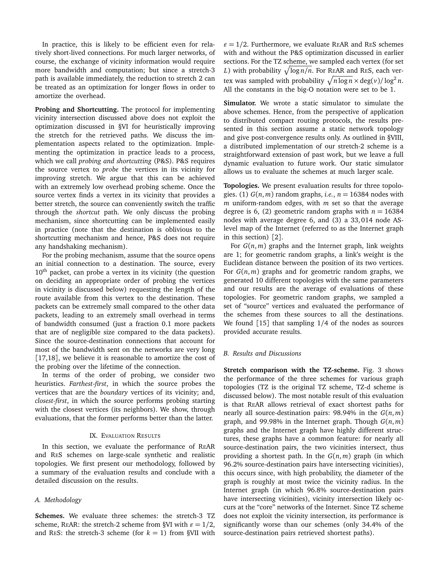In practice, this is likely to be efficient even for relatively short-lived connections. For much larger networks, of course, the exchange of vicinity information would require more bandwidth and computation; but since a stretch-3 path is available immediately, the reduction to stretch 2 can be treated as an optimization for longer flows in order to amortize the overhead.

**Probing and Shortcutting.** The protocol for implementing vicinity intersection discussed above does not exploit the optimization discussed in §VI for heuristically improving the stretch for the retrieved paths. We discuss the implementation aspects related to the optimization. Implementing the optimization in practice leads to a process, which we call *probing and shortcutting* (P&S). P&S requires the source vertex to *probe* the vertices in its vicinity for improving stretch. We argue that this can be achieved with an extremely low overhead probing scheme. Once the source vertex finds a vertex in its vicinity that provides a better stretch, the source can conveniently switch the traffic through the *shortcut* path. We only discuss the probing mechanism, since shortcutting can be implemented easily in practice (note that the destination is oblivious to the shortcutting mechanism and hence, P&S does not require any handshaking mechanism).

For the probing mechanism, assume that the source opens an initial connection to a destination. The source, every  $10<sup>th</sup>$  packet, can probe a vertex in its vicinity (the question on deciding an appropriate order of probing the vertices in vicinity is discussed below) requesting the length of the route available from this vertex to the destination. These packets can be extremely small compared to the other data packets, leading to an extremely small overhead in terms of bandwidth consumed (just a fraction 0.1 more packets that are of negligible size compared to the data packets). Since the source-destination connections that account for most of the bandwidth sent on the networks are very long [17,18], we believe it is reasonable to amortize the cost of the probing over the lifetime of the connection.

In terms of the order of probing, we consider two heuristics. *Farthest-first*, in which the source probes the vertices that are the *boundary* vertices of its vicinity; and, *closest-first*, in which the source performs probing starting with the closest vertices (its neighbors). We show, through evaluations, that the former performs better than the latter.

#### IX. EVALUATION RESULTS

In this section, we evaluate the performance of REAR and RES schemes on large-scale synthetic and realistic topologies. We first present our methodology, followed by a summary of the evaluation results and conclude with a detailed discussion on the results.

## *A. Methodology*

**Schemes.** We evaluate three schemes: the stretch-3 TZ scheme, REAR: the stretch-2 scheme from §VI with  $\varepsilon = 1/2$ , and RES: the stretch-3 scheme (for  $k = 1$ ) from §VII with  $\varepsilon = 1/2$ . Furthermore, we evaluate REAR and RES schemes with and without the P&S optimization discussed in earlier sections. For the TZ scheme, we sampled each vertex (for set *L*) with probability  $\sqrt{\log n/n}.$  For REAR and RES, each vertex was sampled with probability  $\sqrt{n \log n} \times \deg(v) / \log^2 n$ . All the constants in the big-O notation were set to be 1.

**Simulator.** We wrote a static simulator to simulate the above schemes. Hence, from the perspective of application to distributed compact routing protocols, the results presented in this section assume a static network topology and give post-convergence results only. As outlined in §VIII, a distributed implementation of our stretch-2 scheme is a straightforward extension of past work, but we leave a full dynamic evaluation to future work. Our static simulator allows us to evaluate the schemes at much larger scale.

**Topologies.** We present evaluation results for three topologies. (1)  $G(n, m)$  random graphs, *i.e.*,  $n = 16384$  nodes with *m* uniform-random edges, with *m* set so that the average degree is 6, (2) geometric random graphs with  $n = 16384$ nodes with average degree 6, and (3) a 33, 014 node ASlevel map of the Internet (referred to as the Internet graph in this section) [2].

For *G*(*n*, *m*) graphs and the Internet graph, link weights are 1; for geometric random graphs, a link's weight is the Euclidean distance between the position of its two vertices. For  $G(n, m)$  graphs and for geometric random graphs, we generated 10 different topologies with the same parameters and our results are the average of evaluations of these topologies. For geometric random graphs, we sampled a set of "source" vertices and evaluated the performance of the schemes from these sources to all the destinations. We found [15] that sampling 1*/*4 of the nodes as sources provided accurate results.

## *B. Results and Discussions*

**Stretch comparison with the TZ-scheme.** Fig. 3 shows the performance of the three schemes for various graph topologies (TZ is the original TZ scheme, TZ-d scheme is discussed below). The most notable result of this evaluation is that REAR allows retrieval of exact shortest paths for nearly all source-destination pairs: 98.94% in the *G*(*n*, *m*) graph, and 99.98% in the Internet graph. Though *G*(*n*, *m*) graphs and the Internet graph have highly different structures, these graphs have a common feature: for nearly all source-destination pairs, the two vicinities intersect, thus providing a shortest path. In the *G*(*n*, *m*) graph (in which 96.2% source-destination pairs have intersecting vicinities), this occurs since, with high probability, the diameter of the graph is roughly at most twice the vicinity radius. In the Internet graph (in which 96.8% source-destination pairs have intersecting vicinities), vicinity intersection likely occurs at the "core" networks of the Internet. Since TZ scheme does not exploit the vicinity intersection, its performance is significantly worse than our schemes (only 34.4% of the source-destination pairs retrieved shortest paths).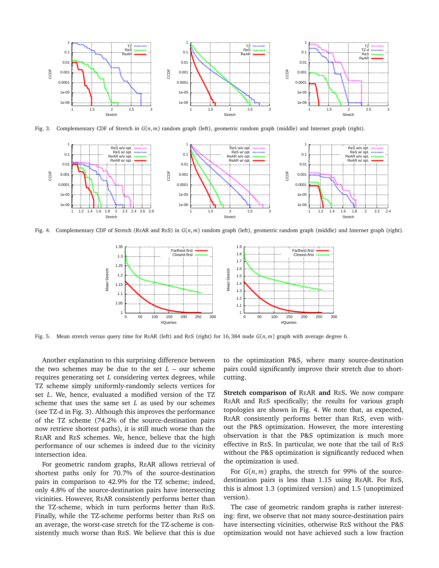

Fig. 3. Complementary CDF of Stretch in *G*(*n*, *m*) random graph (left), geometric random graph (middle) and Internet graph (right).



Fig. 4. Complementary CDF of Stretch (REAR and RES) in *G*(*n*, *m*) random graph (left), geometric random graph (middle) and Internet graph (right).



Fig. 5. Mean stretch versus query time for REAR (left) and RES (right) for 16, 384 node *G*(*n*, *m*) graph with average degree 6.

Another explanation to this surprising difference between the two schemes may be due to the set *L* – our scheme requires generating set *L* considering vertex degrees, while TZ scheme simply uniformly-randomly selects vertices for set *L*. We, hence, evaluated a modified version of the TZ scheme that uses the same set *L* as used by our schemes (see TZ-d in Fig. 3). Although this improves the performance of the TZ scheme (74.2% of the source-destination pairs now retrieve shortest paths), it is still much worse than the REAR and RES schemes. We, hence, believe that the high performance of our schemes is indeed due to the vicinity intersection idea.

For geometric random graphs, REAR allows retrieval of shortest paths only for 70.7% of the source-destination pairs in comparison to 42.9% for the TZ scheme; indeed, only 4.8% of the source-destination pairs have intersecting vicinities. However, REAR consistently performs better than the TZ-scheme, which in turn performs better than RES. Finally, while the TZ-scheme performs better than RES on an average, the worst-case stretch for the TZ-scheme is consistently much worse than RES. We believe that this is due to the optimization P&S, where many source-destination pairs could significantly improve their stretch due to shortcutting.

**Stretch comparison of** REAR **and** RES**.** We now compare REAR and RES specifically; the results for various graph topologies are shown in Fig. 4. We note that, as expected, REAR consistently performs better than RES, even without the P&S optimization. However, the more interesting observation is that the P&S optimization is much more effective in RES. In particular, we note that the tail of RES without the P&S optimization is significantly reduced when the optimization is used.

For *G*(*n*, *m*) graphs, the stretch for 99% of the sourcedestination pairs is less than 1.15 using REAR. For RES, this is almost 1.3 (optimized version) and 1.5 (unoptimized version).

The case of geometric random graphs is rather interesting: first, we observe that not many source-destination pairs have intersecting vicinities, otherwise RES without the P&S optimization would not have achieved such a low fraction